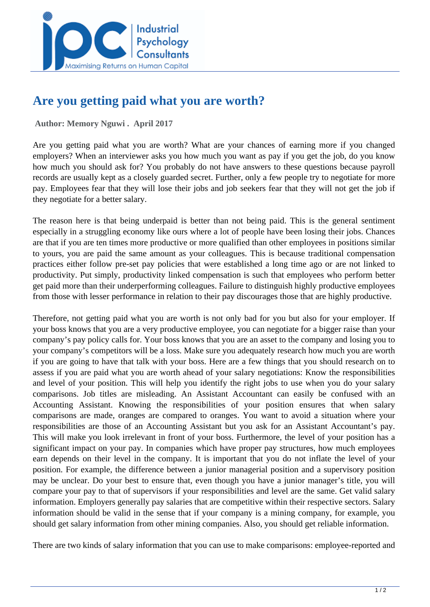

## **Are you getting paid what you are worth?**

 **Author: Memory Nguwi . April 2017** 

Are you getting paid what you are worth? What are your chances of earning more if you changed employers? When an interviewer asks you how much you want as pay if you get the job, do you know how much you should ask for? You probably do not have answers to these questions because payroll records are usually kept as a closely guarded secret. Further, only a few people try to negotiate for more pay. Employees fear that they will lose their jobs and job seekers fear that they will not get the job if they negotiate for a better salary.

The reason here is that being underpaid is better than not being paid. This is the general sentiment especially in a struggling economy like ours where a lot of people have been losing their jobs. Chances are that if you are ten times more productive or more qualified than other employees in positions similar to yours, you are paid the same amount as your colleagues. This is because traditional compensation practices either follow pre-set pay policies that were established a long time ago or are not linked to productivity. Put simply, productivity linked compensation is such that employees who perform better get paid more than their underperforming colleagues. Failure to distinguish highly productive employees from those with lesser performance in relation to their pay discourages those that are highly productive.

Therefore, not getting paid what you are worth is not only bad for you but also for your employer. If your boss knows that you are a very productive employee, you can negotiate for a bigger raise than your company's pay policy calls for. Your boss knows that you are an asset to the company and losing you to your company's competitors will be a loss. Make sure you adequately research how much you are worth if you are going to have that talk with your boss. Here are a few things that you should research on to assess if you are paid what you are worth ahead of your salary negotiations: Know the responsibilities and level of your position. This will help you identify the right jobs to use when you do your salary comparisons. Job titles are misleading. An Assistant Accountant can easily be confused with an Accounting Assistant. Knowing the responsibilities of your position ensures that when salary comparisons are made, oranges are compared to oranges. You want to avoid a situation where your responsibilities are those of an Accounting Assistant but you ask for an Assistant Accountant's pay. This will make you look irrelevant in front of your boss. Furthermore, the level of your position has a significant impact on your pay. In companies which have proper pay structures, how much employees earn depends on their level in the company. It is important that you do not inflate the level of your position. For example, the difference between a junior managerial position and a supervisory position may be unclear. Do your best to ensure that, even though you have a junior manager's title, you will compare your pay to that of supervisors if your responsibilities and level are the same. Get valid salary information. Employers generally pay salaries that are competitive within their respective sectors. Salary information should be valid in the sense that if your company is a mining company, for example, you should get salary information from other mining companies. Also, you should get reliable information.

There are two kinds of salary information that you can use to make comparisons: employee-reported and